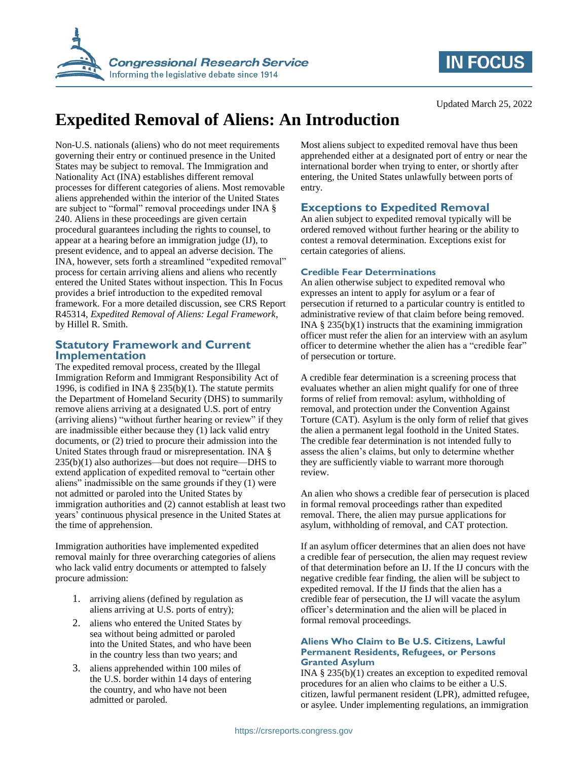



# **Expedited Removal of Aliens: An Introduction**

Non-U.S. nationals (aliens) who do not meet requirements governing their entry or continued presence in the United States may be subject to removal. The Immigration and Nationality Act (INA) establishes different removal processes for different categories of aliens. Most removable aliens apprehended within the interior of the United States are subject to "formal" removal proceedings under INA § 240. Aliens in these proceedings are given certain procedural guarantees including the rights to counsel, to appear at a hearing before an immigration judge (IJ), to present evidence, and to appeal an adverse decision. The INA, however, sets forth a streamlined "expedited removal" process for certain arriving aliens and aliens who recently entered the United States without inspection. This In Focus provides a brief introduction to the expedited removal framework. For a more detailed discussion, see CRS Report R45314, *Expedited Removal of Aliens: Legal Framework*, by Hillel R. Smith.

## **Statutory Framework and Current Implementation**

The expedited removal process, created by the Illegal Immigration Reform and Immigrant Responsibility Act of 1996, is codified in INA  $\S$  235(b)(1). The statute permits the Department of Homeland Security (DHS) to summarily remove aliens arriving at a designated U.S. port of entry (arriving aliens) "without further hearing or review" if they are inadmissible either because they (1) lack valid entry documents, or (2) tried to procure their admission into the United States through fraud or misrepresentation. INA § 235(b)(1) also authorizes—but does not require—DHS to extend application of expedited removal to "certain other aliens" inadmissible on the same grounds if they (1) were not admitted or paroled into the United States by immigration authorities and (2) cannot establish at least two years' continuous physical presence in the United States at the time of apprehension.

Immigration authorities have implemented expedited removal mainly for three overarching categories of aliens who lack valid entry documents or attempted to falsely procure admission:

- 1. arriving aliens (defined by regulation as aliens arriving at U.S. ports of entry);
- 2. aliens who entered the United States by sea without being admitted or paroled into the United States, and who have been in the country less than two years; and
- 3. aliens apprehended within 100 miles of the U.S. border within 14 days of entering the country, and who have not been admitted or paroled.

Most aliens subject to expedited removal have thus been apprehended either at a designated port of entry or near the international border when trying to enter, or shortly after entering, the United States unlawfully between ports of entry.

# **Exceptions to Expedited Removal**

An alien subject to expedited removal typically will be ordered removed without further hearing or the ability to contest a removal determination. Exceptions exist for certain categories of aliens.

# **Credible Fear Determinations**

An alien otherwise subject to expedited removal who expresses an intent to apply for asylum or a fear of persecution if returned to a particular country is entitled to administrative review of that claim before being removed. INA  $\S$  235(b)(1) instructs that the examining immigration officer must refer the alien for an interview with an asylum officer to determine whether the alien has a "credible fear" of persecution or torture.

A credible fear determination is a screening process that evaluates whether an alien might qualify for one of three forms of relief from removal: asylum, withholding of removal, and protection under the Convention Against Torture (CAT). Asylum is the only form of relief that gives the alien a permanent legal foothold in the United States. The credible fear determination is not intended fully to assess the alien's claims, but only to determine whether they are sufficiently viable to warrant more thorough review.

An alien who shows a credible fear of persecution is placed in formal removal proceedings rather than expedited removal. There, the alien may pursue applications for asylum, withholding of removal, and CAT protection.

If an asylum officer determines that an alien does not have a credible fear of persecution, the alien may request review of that determination before an IJ. If the IJ concurs with the negative credible fear finding, the alien will be subject to expedited removal. If the IJ finds that the alien has a credible fear of persecution, the IJ will vacate the asylum officer's determination and the alien will be placed in formal removal proceedings.

#### **Aliens Who Claim to Be U.S. Citizens, Lawful Permanent Residents, Refugees, or Persons Granted Asylum**

INA § 235(b)(1) creates an exception to expedited removal procedures for an alien who claims to be either a U.S. citizen, lawful permanent resident (LPR), admitted refugee, or asylee. Under implementing regulations, an immigration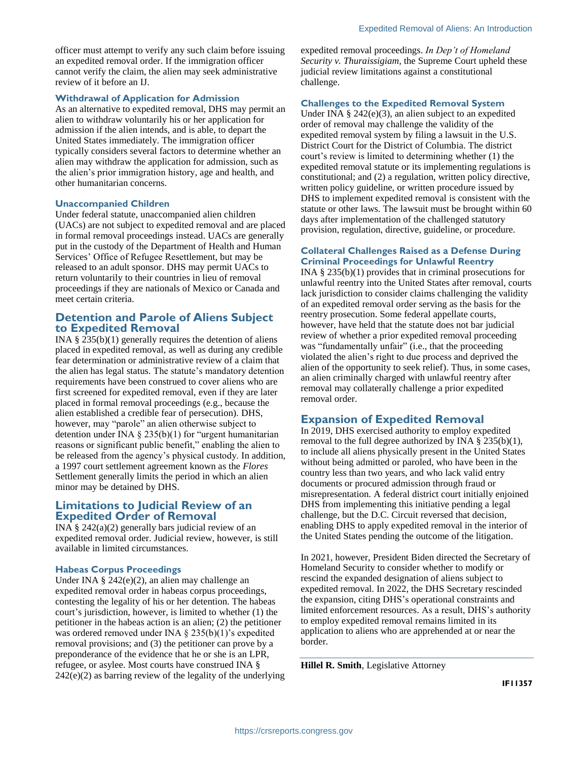officer must attempt to verify any such claim before issuing an expedited removal order. If the immigration officer cannot verify the claim, the alien may seek administrative review of it before an IJ.

#### **Withdrawal of Application for Admission**

As an alternative to expedited removal, DHS may permit an alien to withdraw voluntarily his or her application for admission if the alien intends, and is able, to depart the United States immediately. The immigration officer typically considers several factors to determine whether an alien may withdraw the application for admission, such as the alien's prior immigration history, age and health, and other humanitarian concerns.

#### **Unaccompanied Children**

Under federal statute, unaccompanied alien children (UACs) are not subject to expedited removal and are placed in formal removal proceedings instead. UACs are generally put in the custody of the Department of Health and Human Services' Office of Refugee Resettlement, but may be released to an adult sponsor. DHS may permit UACs to return voluntarily to their countries in lieu of removal proceedings if they are nationals of Mexico or Canada and meet certain criteria.

#### **Detention and Parole of Aliens Subject to Expedited Removal**

INA  $\S$  235(b)(1) generally requires the detention of aliens placed in expedited removal, as well as during any credible fear determination or administrative review of a claim that the alien has legal status. The statute's mandatory detention requirements have been construed to cover aliens who are first screened for expedited removal, even if they are later placed in formal removal proceedings (e.g., because the alien established a credible fear of persecution). DHS, however, may "parole" an alien otherwise subject to detention under INA § 235(b)(1) for "urgent humanitarian reasons or significant public benefit," enabling the alien to be released from the agency's physical custody. In addition, a 1997 court settlement agreement known as the *Flores* Settlement generally limits the period in which an alien minor may be detained by DHS.

### **Limitations to Judicial Review of an Expedited Order of Removal**

INA  $\S$  242(a)(2) generally bars judicial review of an expedited removal order. Judicial review, however, is still available in limited circumstances.

#### **Habeas Corpus Proceedings**

Under INA § 242(e)(2), an alien may challenge an expedited removal order in habeas corpus proceedings, contesting the legality of his or her detention. The habeas court's jurisdiction, however, is limited to whether (1) the petitioner in the habeas action is an alien; (2) the petitioner was ordered removed under INA § 235(b)(1)'s expedited removal provisions; and (3) the petitioner can prove by a preponderance of the evidence that he or she is an LPR, refugee, or asylee. Most courts have construed INA § 242(e)(2) as barring review of the legality of the underlying expedited removal proceedings. *In Dep't of Homeland Security v. Thuraissigiam*, the Supreme Court upheld these judicial review limitations against a constitutional challenge.

#### **Challenges to the Expedited Removal System**

Under INA § 242(e)(3), an alien subject to an expedited order of removal may challenge the validity of the expedited removal system by filing a lawsuit in the U.S. District Court for the District of Columbia. The district court's review is limited to determining whether (1) the expedited removal statute or its implementing regulations is constitutional; and (2) a regulation, written policy directive, written policy guideline, or written procedure issued by DHS to implement expedited removal is consistent with the statute or other laws. The lawsuit must be brought within 60 days after implementation of the challenged statutory provision, regulation, directive, guideline, or procedure.

#### **Collateral Challenges Raised as a Defense During Criminal Proceedings for Unlawful Reentry**

INA § 235(b)(1) provides that in criminal prosecutions for unlawful reentry into the United States after removal, courts lack jurisdiction to consider claims challenging the validity of an expedited removal order serving as the basis for the reentry prosecution. Some federal appellate courts, however, have held that the statute does not bar judicial review of whether a prior expedited removal proceeding was "fundamentally unfair" (i.e., that the proceeding violated the alien's right to due process and deprived the alien of the opportunity to seek relief). Thus, in some cases, an alien criminally charged with unlawful reentry after removal may collaterally challenge a prior expedited removal order.

## **Expansion of Expedited Removal**

In 2019, DHS exercised authority to employ expedited removal to the full degree authorized by INA  $\S 235(b)(1)$ , to include all aliens physically present in the United States without being admitted or paroled, who have been in the country less than two years, and who lack valid entry documents or procured admission through fraud or misrepresentation. A federal district court initially enjoined DHS from implementing this initiative pending a legal challenge, but the D.C. Circuit reversed that decision, enabling DHS to apply expedited removal in the interior of the United States pending the outcome of the litigation.

In 2021, however, President Biden directed the Secretary of Homeland Security to consider whether to modify or rescind the expanded designation of aliens subject to expedited removal. In 2022, the DHS Secretary rescinded the expansion, citing DHS's operational constraints and limited enforcement resources. As a result, DHS's authority to employ expedited removal remains limited in its application to aliens who are apprehended at or near the border.

**Hillel R. Smith**, Legislative Attorney